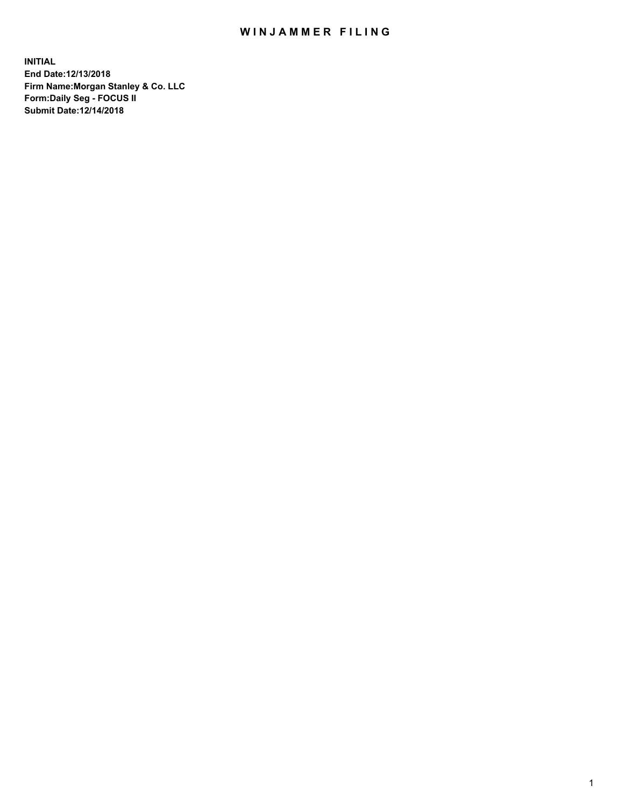## WIN JAMMER FILING

**INITIAL End Date:12/13/2018 Firm Name:Morgan Stanley & Co. LLC Form:Daily Seg - FOCUS II Submit Date:12/14/2018**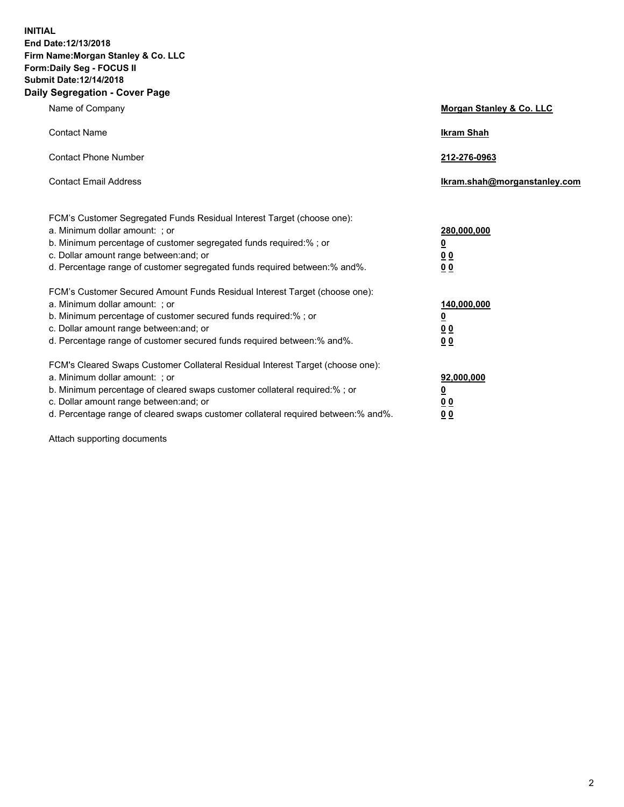**INITIAL End Date:12/13/2018 Firm Name:Morgan Stanley & Co. LLC Form:Daily Seg - FOCUS II Submit Date:12/14/2018 Daily Segregation - Cover Page**

| Name of Company                                                                   | Morgan Stanley & Co. LLC     |
|-----------------------------------------------------------------------------------|------------------------------|
| <b>Contact Name</b>                                                               | <b>Ikram Shah</b>            |
| <b>Contact Phone Number</b>                                                       | 212-276-0963                 |
| <b>Contact Email Address</b>                                                      | Ikram.shah@morganstanley.com |
| FCM's Customer Segregated Funds Residual Interest Target (choose one):            |                              |
| a. Minimum dollar amount: ; or                                                    | 280,000,000                  |
| b. Minimum percentage of customer segregated funds required:% ; or                | <u>0</u>                     |
| c. Dollar amount range between: and; or                                           | <u>0 0</u>                   |
| d. Percentage range of customer segregated funds required between: % and %.       | 0 Q                          |
| FCM's Customer Secured Amount Funds Residual Interest Target (choose one):        |                              |
| a. Minimum dollar amount: ; or                                                    | 140,000,000                  |
| b. Minimum percentage of customer secured funds required:%; or                    | <u>0</u>                     |
| c. Dollar amount range between: and; or                                           | 0 <sub>0</sub>               |
| d. Percentage range of customer secured funds required between:% and%.            | 0 <sub>0</sub>               |
| FCM's Cleared Swaps Customer Collateral Residual Interest Target (choose one):    |                              |
| a. Minimum dollar amount: ; or                                                    | 92,000,000                   |
| b. Minimum percentage of cleared swaps customer collateral required:% ; or        | <u>0</u>                     |
| c. Dollar amount range between: and; or                                           | 0 Q                          |
| d. Percentage range of cleared swaps customer collateral required between:% and%. | 00                           |

Attach supporting documents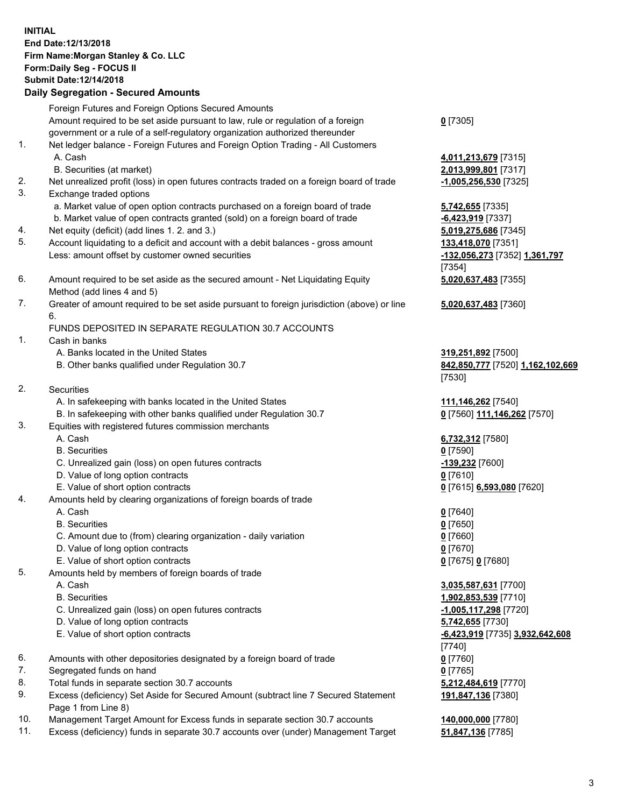## **INITIAL End Date:12/13/2018 Firm Name:Morgan Stanley & Co. LLC Form:Daily Seg - FOCUS II Submit Date:12/14/2018**

**Daily Segregation - Secured Amounts** Foreign Futures and Foreign Options Secured Amounts Amount required to be set aside pursuant to law, rule or regulation of a foreign government or a rule of a self-regulatory organization authorized thereunder 1. Net ledger balance - Foreign Futures and Foreign Option Trading - All Customers A. Cash **4,011,213,679** [7315] B. Securities (at market) **2,013,999,801** [7317] 2. Net unrealized profit (loss) in open futures contracts traded on a foreign board of trade **-1,005,256,530** [7325] 3. Exchange traded options a. Market value of open option contracts purchased on a foreign board of trade **5,742,655** [7335] b. Market value of open contracts granted (sold) on a foreign board of trade **-6,423,919** [7337] 4. Net equity (deficit) (add lines 1. 2. and 3.) **5,019,275,686** [7345] 5. Account liquidating to a deficit and account with a debit balances - gross amount **133,418,070** [7351] Less: amount offset by customer owned securities **-132,056,273** [7352] **1,361,797** 6. Amount required to be set aside as the secured amount - Net Liquidating Equity Method (add lines 4 and 5) 7. Greater of amount required to be set aside pursuant to foreign jurisdiction (above) or line 6. FUNDS DEPOSITED IN SEPARATE REGULATION 30.7 ACCOUNTS 1. Cash in banks A. Banks located in the United States **319,251,892** [7500] B. Other banks qualified under Regulation 30.7 **842,850,777** [7520] **1,162,102,669** 2. Securities A. In safekeeping with banks located in the United States **111,146,262** [7540] B. In safekeeping with other banks qualified under Regulation 30.7 **0** [7560] **111,146,262** [7570] 3. Equities with registered futures commission merchants A. Cash **6,732,312** [7580] B. Securities **0** [7590] C. Unrealized gain (loss) on open futures contracts **-139,232** [7600] D. Value of long option contracts **0** [7610] E. Value of short option contracts **0** [7615] **6,593,080** [7620] 4. Amounts held by clearing organizations of foreign boards of trade A. Cash **0** [7640] B. Securities **0** [7650]

- C. Amount due to (from) clearing organization daily variation **0** [7660]
- D. Value of long option contracts **0** [7670]
- E. Value of short option contracts **0** [7675] **0** [7680]
- 5. Amounts held by members of foreign boards of trade
	-
	-
	- C. Unrealized gain (loss) on open futures contracts **-1,005,117,298** [7720]
	- D. Value of long option contracts **5,742,655** [7730]
	- E. Value of short option contracts **-6,423,919** [7735] **3,932,642,608**
- 6. Amounts with other depositories designated by a foreign board of trade **0** [7760]
- 7. Segregated funds on hand **0** [7765]
- 8. Total funds in separate section 30.7 accounts **5,212,484,619** [7770]
- 9. Excess (deficiency) Set Aside for Secured Amount (subtract line 7 Secured Statement Page 1 from Line 8)
- 10. Management Target Amount for Excess funds in separate section 30.7 accounts **140,000,000** [7780]
- 11. Excess (deficiency) funds in separate 30.7 accounts over (under) Management Target **51,847,136** [7785]

**0** [7305]

[7354] **5,020,637,483** [7355]

**5,020,637,483** [7360]

[7530]

 A. Cash **3,035,587,631** [7700] B. Securities **1,902,853,539** [7710] [7740] **191,847,136** [7380]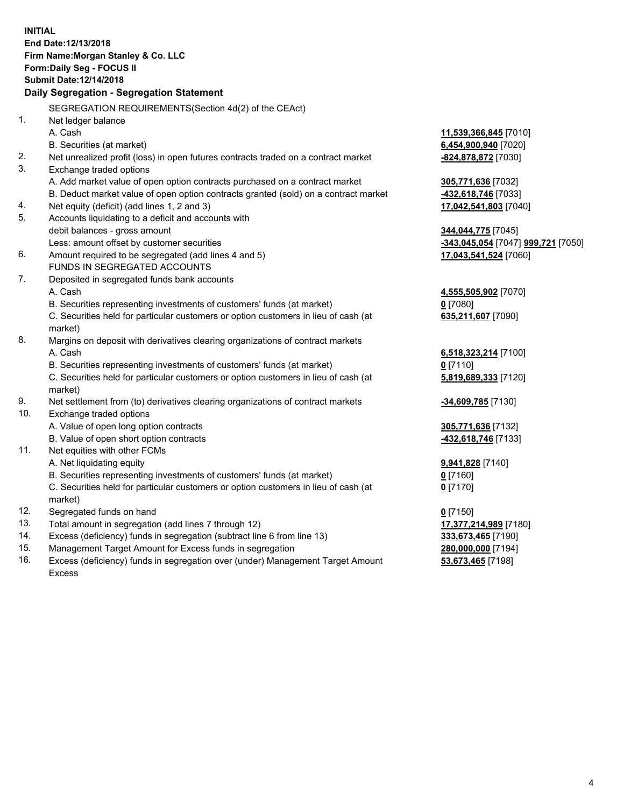**INITIAL End Date:12/13/2018 Firm Name:Morgan Stanley & Co. LLC Form:Daily Seg - FOCUS II Submit Date:12/14/2018 Daily Segregation - Segregation Statement** SEGREGATION REQUIREMENTS(Section 4d(2) of the CEAct) 1. Net ledger balance A. Cash **11,539,366,845** [7010] B. Securities (at market) **6,454,900,940** [7020] 2. Net unrealized profit (loss) in open futures contracts traded on a contract market **-824,878,872** [7030] 3. Exchange traded options A. Add market value of open option contracts purchased on a contract market **305,771,636** [7032] B. Deduct market value of open option contracts granted (sold) on a contract market **-432,618,746** [7033] 4. Net equity (deficit) (add lines 1, 2 and 3) **17,042,541,803** [7040] 5. Accounts liquidating to a deficit and accounts with debit balances - gross amount **344,044,775** [7045] Less: amount offset by customer securities **-343,045,054** [7047] **999,721** [7050] 6. Amount required to be segregated (add lines 4 and 5) **17,043,541,524** [7060] FUNDS IN SEGREGATED ACCOUNTS 7. Deposited in segregated funds bank accounts A. Cash **4,555,505,902** [7070] B. Securities representing investments of customers' funds (at market) **0** [7080] C. Securities held for particular customers or option customers in lieu of cash (at market) **635,211,607** [7090] 8. Margins on deposit with derivatives clearing organizations of contract markets A. Cash **6,518,323,214** [7100] B. Securities representing investments of customers' funds (at market) **0** [7110] C. Securities held for particular customers or option customers in lieu of cash (at market) **5,819,689,333** [7120] 9. Net settlement from (to) derivatives clearing organizations of contract markets **-34,609,785** [7130] 10. Exchange traded options A. Value of open long option contracts **305,771,636** [7132] B. Value of open short option contracts **-432,618,746** [7133] 11. Net equities with other FCMs A. Net liquidating equity **9,941,828** [7140] B. Securities representing investments of customers' funds (at market) **0** [7160] C. Securities held for particular customers or option customers in lieu of cash (at market) **0** [7170] 12. Segregated funds on hand **0** [7150] 13. Total amount in segregation (add lines 7 through 12) **17,377,214,989** [7180] 14. Excess (deficiency) funds in segregation (subtract line 6 from line 13) **333,673,465** [7190]

- 15. Management Target Amount for Excess funds in segregation **280,000,000** [7194]
- 16. Excess (deficiency) funds in segregation over (under) Management Target Amount Excess

**53,673,465** [7198]